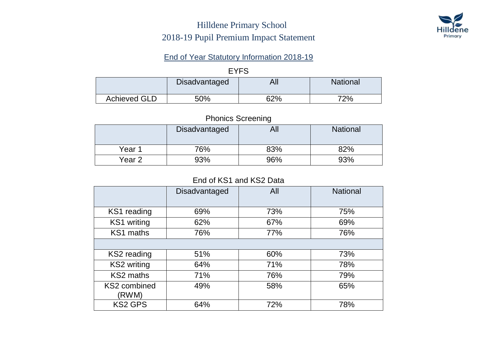### Hilldene Primary School 2018-19 Pupil Premium Impact Statement



#### End of Year Statutory Information 2018-19

#### EYFS

|                     | <b>Disadvantaged</b> | Δ<br>nıi   | <b>National</b> |
|---------------------|----------------------|------------|-----------------|
| <b>Achieved GLD</b> | $50\%$               | <b>62%</b> | 72%             |

#### Phonics Screening

|        |               | -   |                 |
|--------|---------------|-----|-----------------|
|        | Disadvantaged | All | <b>National</b> |
| Year 1 | 76%           | 83% | 82%             |
| Year 2 | 93%           | 96% | 93%             |

#### End of KS1 and KS2 Data

|                       | Disadvantaged | All | <b>National</b> |
|-----------------------|---------------|-----|-----------------|
|                       |               |     |                 |
| KS1 reading           | 69%           | 73% | 75%             |
| KS1 writing           | 62%           | 67% | 69%             |
| KS1 maths             | 76%           | 77% | 76%             |
|                       |               |     |                 |
| KS2 reading           | 51%           | 60% | 73%             |
| <b>KS2</b> writing    | 64%           | 71% | 78%             |
| KS2 maths             | 71%           | 76% | 79%             |
| KS2 combined<br>(RWM) | 49%           | 58% | 65%             |
| <b>KS2 GPS</b>        | 64%           | 72% | 78%             |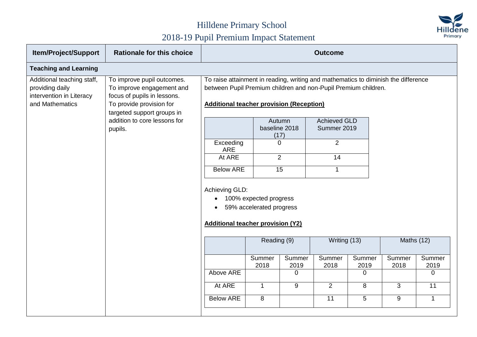

| <b>Item/Project/Support</b>                                                                  | <b>Rationale for this choice</b>                                                                                                                 | <b>Outcome</b>                                                                                                                                                                                          |                                                    |                                 |                                    |                |                |                |
|----------------------------------------------------------------------------------------------|--------------------------------------------------------------------------------------------------------------------------------------------------|---------------------------------------------------------------------------------------------------------------------------------------------------------------------------------------------------------|----------------------------------------------------|---------------------------------|------------------------------------|----------------|----------------|----------------|
| <b>Teaching and Learning</b>                                                                 |                                                                                                                                                  |                                                                                                                                                                                                         |                                                    |                                 |                                    |                |                |                |
| Additional teaching staff,<br>providing daily<br>intervention in Literacy<br>and Mathematics | To improve pupil outcomes.<br>To improve engagement and<br>focus of pupils in lessons.<br>To provide provision for<br>targeted support groups in | To raise attainment in reading, writing and mathematics to diminish the difference<br>between Pupil Premium children and non-Pupil Premium children.<br><b>Additional teacher provision (Reception)</b> |                                                    |                                 |                                    |                |                |                |
|                                                                                              | addition to core lessons for<br>pupils.                                                                                                          |                                                                                                                                                                                                         |                                                    | Autumn<br>baseline 2018<br>(17) | <b>Achieved GLD</b><br>Summer 2019 |                |                |                |
|                                                                                              |                                                                                                                                                  | Exceeding<br><b>ARE</b>                                                                                                                                                                                 |                                                    | $\Omega$                        | 2                                  |                |                |                |
|                                                                                              |                                                                                                                                                  | At ARE                                                                                                                                                                                                  |                                                    | $\overline{2}$                  | 14                                 |                |                |                |
|                                                                                              |                                                                                                                                                  | <b>Below ARE</b>                                                                                                                                                                                        |                                                    | $\overline{15}$                 | $\mathbf{1}$                       |                |                |                |
|                                                                                              |                                                                                                                                                  | Achieving GLD:<br><b>Additional teacher provision (Y2)</b>                                                                                                                                              | 100% expected progress<br>59% accelerated progress |                                 |                                    |                |                |                |
|                                                                                              |                                                                                                                                                  |                                                                                                                                                                                                         | Reading (9)                                        |                                 | Writing (13)                       |                | Maths (12)     |                |
|                                                                                              |                                                                                                                                                  |                                                                                                                                                                                                         | Summer<br>2018                                     | Summer<br>2019                  | Summer<br>2018                     | Summer<br>2019 | Summer<br>2018 | Summer<br>2019 |
|                                                                                              |                                                                                                                                                  | Above ARE                                                                                                                                                                                               |                                                    | $\Omega$                        |                                    | $\Omega$       |                | 0              |
|                                                                                              |                                                                                                                                                  | At ARE                                                                                                                                                                                                  | $\mathbf 1$                                        | 9                               | 2                                  | 8              | 3              | 11             |
|                                                                                              |                                                                                                                                                  | <b>Below ARE</b>                                                                                                                                                                                        | 8                                                  |                                 | 11                                 | 5              | 9              | $\mathbf{1}$   |
|                                                                                              |                                                                                                                                                  |                                                                                                                                                                                                         |                                                    |                                 |                                    |                |                |                |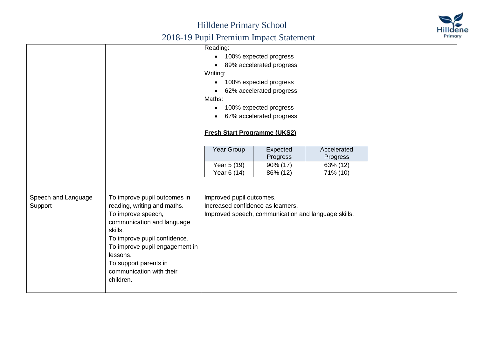### Hilldene Primary School 2018-19 Pupil Premium Impact Statement



| Reading:<br>100% expected progress<br>89% accelerated progress<br>Writing:<br>100% expected progress<br>62% accelerated progress<br>Maths:<br>100% expected progress<br>$\bullet$<br>67% accelerated progress |
|---------------------------------------------------------------------------------------------------------------------------------------------------------------------------------------------------------------|
|                                                                                                                                                                                                               |
|                                                                                                                                                                                                               |
|                                                                                                                                                                                                               |
|                                                                                                                                                                                                               |
|                                                                                                                                                                                                               |
|                                                                                                                                                                                                               |
|                                                                                                                                                                                                               |
|                                                                                                                                                                                                               |
|                                                                                                                                                                                                               |
|                                                                                                                                                                                                               |
| <b>Fresh Start Programme (UKS2)</b>                                                                                                                                                                           |
|                                                                                                                                                                                                               |
| Year Group<br>Expected<br>Accelerated                                                                                                                                                                         |
| Progress<br>Progress                                                                                                                                                                                          |
| Year 5 (19)<br>90% (17)<br>63% (12)                                                                                                                                                                           |
| Year 6 (14)<br>86% (12)<br>71% (10)                                                                                                                                                                           |
|                                                                                                                                                                                                               |
|                                                                                                                                                                                                               |
| To improve pupil outcomes in<br>Improved pupil outcomes.<br>Speech and Language                                                                                                                               |
| Support<br>Increased confidence as learners.<br>reading, writing and maths.                                                                                                                                   |
| To improve speech,<br>Improved speech, communication and language skills.                                                                                                                                     |
| communication and language                                                                                                                                                                                    |
| skills.                                                                                                                                                                                                       |
| To improve pupil confidence.                                                                                                                                                                                  |
|                                                                                                                                                                                                               |
| To improve pupil engagement in                                                                                                                                                                                |
| lessons.                                                                                                                                                                                                      |
|                                                                                                                                                                                                               |
| To support parents in                                                                                                                                                                                         |
| communication with their<br>children.                                                                                                                                                                         |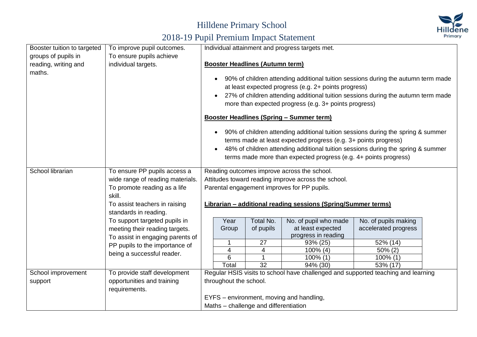

| Booster tuition to targeted    | To improve pupil outcomes.                  | Individual attainment and progress targets met.                                                                                                                                                                                                                                                             |                 |                                                                                   |                      |  |  |  |  |
|--------------------------------|---------------------------------------------|-------------------------------------------------------------------------------------------------------------------------------------------------------------------------------------------------------------------------------------------------------------------------------------------------------------|-----------------|-----------------------------------------------------------------------------------|----------------------|--|--|--|--|
| groups of pupils in            | To ensure pupils achieve                    | <b>Booster Headlines (Autumn term)</b>                                                                                                                                                                                                                                                                      |                 |                                                                                   |                      |  |  |  |  |
| reading, writing and<br>maths. | individual targets.                         |                                                                                                                                                                                                                                                                                                             |                 |                                                                                   |                      |  |  |  |  |
|                                |                                             | 90% of children attending additional tuition sessions during the autumn term made<br>at least expected progress (e.g. 2+ points progress)<br>27% of children attending additional tuition sessions during the autumn term made<br>more than expected progress (e.g. 3+ points progress)                     |                 |                                                                                   |                      |  |  |  |  |
|                                |                                             |                                                                                                                                                                                                                                                                                                             |                 | <b>Booster Headlines (Spring - Summer term)</b>                                   |                      |  |  |  |  |
|                                |                                             | 90% of children attending additional tuition sessions during the spring & summer<br>terms made at least expected progress (e.g. 3+ points progress)<br>48% of children attending additional tuition sessions during the spring & summer<br>terms made more than expected progress (e.g. 4+ points progress) |                 |                                                                                   |                      |  |  |  |  |
| School librarian               | To ensure PP pupils access a                |                                                                                                                                                                                                                                                                                                             |                 | Reading outcomes improve across the school.                                       |                      |  |  |  |  |
|                                | wide range of reading materials.            |                                                                                                                                                                                                                                                                                                             |                 | Attitudes toward reading improve across the school.                               |                      |  |  |  |  |
|                                | To promote reading as a life                |                                                                                                                                                                                                                                                                                                             |                 | Parental engagement improves for PP pupils.                                       |                      |  |  |  |  |
|                                | skill.                                      |                                                                                                                                                                                                                                                                                                             |                 |                                                                                   |                      |  |  |  |  |
|                                | To assist teachers in raising               |                                                                                                                                                                                                                                                                                                             |                 | <b>Librarian - additional reading sessions (Spring/Summer terms)</b>              |                      |  |  |  |  |
|                                | standards in reading.                       |                                                                                                                                                                                                                                                                                                             |                 |                                                                                   |                      |  |  |  |  |
|                                | To support targeted pupils in               | Year                                                                                                                                                                                                                                                                                                        | Total No.       | No. of pupil who made                                                             | No. of pupils making |  |  |  |  |
|                                | meeting their reading targets.              | Group                                                                                                                                                                                                                                                                                                       | of pupils       | at least expected                                                                 | accelerated progress |  |  |  |  |
|                                | To assist in engaging parents of            |                                                                                                                                                                                                                                                                                                             |                 | progress in reading                                                               |                      |  |  |  |  |
|                                | PP pupils to the importance of              |                                                                                                                                                                                                                                                                                                             | 27              | 93% (25)                                                                          | 52% (14)             |  |  |  |  |
|                                | being a successful reader.                  | $\overline{\mathbf{4}}$                                                                                                                                                                                                                                                                                     | 4               | $100\%$ (4)                                                                       | $50\%$ (2)           |  |  |  |  |
|                                |                                             | 6                                                                                                                                                                                                                                                                                                           | $\overline{32}$ | $100\%$ (1)                                                                       | $100\%$ (1)          |  |  |  |  |
|                                |                                             | Total                                                                                                                                                                                                                                                                                                       |                 | 94% (30)                                                                          | 53% (17)             |  |  |  |  |
| School improvement             | To provide staff development                |                                                                                                                                                                                                                                                                                                             |                 | Regular HSIS visits to school have challenged and supported teaching and learning |                      |  |  |  |  |
| support                        | opportunities and training<br>requirements. | throughout the school.                                                                                                                                                                                                                                                                                      |                 |                                                                                   |                      |  |  |  |  |
|                                |                                             |                                                                                                                                                                                                                                                                                                             |                 | EYFS – environment, moving and handling,                                          |                      |  |  |  |  |
|                                |                                             | Maths - challenge and differentiation                                                                                                                                                                                                                                                                       |                 |                                                                                   |                      |  |  |  |  |
|                                |                                             |                                                                                                                                                                                                                                                                                                             |                 |                                                                                   |                      |  |  |  |  |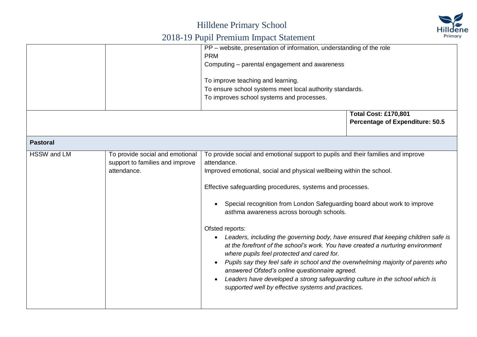

|                 |                                                                                   | PP - website, presentation of information, understanding of the role<br><b>PRM</b><br>Computing - parental engagement and awareness<br>To improve teaching and learning.<br>To ensure school systems meet local authority standards.<br>To improves school systems and processes.                                                                                                                                                                                                                                                                                                                                                                                                                                                                                                                                                                                                |                                                                       |  |  |  |
|-----------------|-----------------------------------------------------------------------------------|----------------------------------------------------------------------------------------------------------------------------------------------------------------------------------------------------------------------------------------------------------------------------------------------------------------------------------------------------------------------------------------------------------------------------------------------------------------------------------------------------------------------------------------------------------------------------------------------------------------------------------------------------------------------------------------------------------------------------------------------------------------------------------------------------------------------------------------------------------------------------------|-----------------------------------------------------------------------|--|--|--|
|                 |                                                                                   |                                                                                                                                                                                                                                                                                                                                                                                                                                                                                                                                                                                                                                                                                                                                                                                                                                                                                  | <b>Total Cost: £170,801</b><br><b>Percentage of Expenditure: 50.5</b> |  |  |  |
| <b>Pastoral</b> |                                                                                   |                                                                                                                                                                                                                                                                                                                                                                                                                                                                                                                                                                                                                                                                                                                                                                                                                                                                                  |                                                                       |  |  |  |
| HSSW and LM     | To provide social and emotional<br>support to families and improve<br>attendance. | To provide social and emotional support to pupils and their families and improve<br>attendance.<br>Improved emotional, social and physical wellbeing within the school.<br>Effective safeguarding procedures, systems and processes.<br>Special recognition from London Safeguarding board about work to improve<br>asthma awareness across borough schools.<br>Ofsted reports:<br>Leaders, including the governing body, have ensured that keeping children safe is<br>at the forefront of the school's work. You have created a nurturing environment<br>where pupils feel protected and cared for.<br>Pupils say they feel safe in school and the overwhelming majority of parents who<br>answered Ofsted's online questionnaire agreed.<br>Leaders have developed a strong safeguarding culture in the school which is<br>supported well by effective systems and practices. |                                                                       |  |  |  |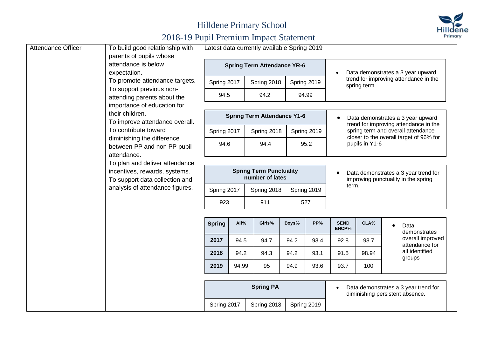

| <b>Attendance Officer</b>                                                                                                                                                     | To build good relationship with                                |                  | Latest data currently available Spring 2019 |                                                                             |       |                                                                            |                      |                                         |                                                                         |                                    |
|-------------------------------------------------------------------------------------------------------------------------------------------------------------------------------|----------------------------------------------------------------|------------------|---------------------------------------------|-----------------------------------------------------------------------------|-------|----------------------------------------------------------------------------|----------------------|-----------------------------------------|-------------------------------------------------------------------------|------------------------------------|
|                                                                                                                                                                               | parents of pupils whose<br>attendance is below<br>expectation. |                  |                                             | <b>Spring Term Attendance YR-6</b>                                          |       |                                                                            |                      |                                         | Data demonstrates a 3 year upward                                       |                                    |
|                                                                                                                                                                               | To promote attendance targets.                                 | Spring 2017      |                                             | Spring 2018                                                                 |       | Spring 2019                                                                |                      | spring term.                            | trend for improving attendance in the                                   |                                    |
|                                                                                                                                                                               | To support previous non-<br>attending parents about the        | 94.5             |                                             | 94.2                                                                        |       | 94.99                                                                      |                      |                                         |                                                                         |                                    |
| importance of education for<br>their children.<br>To improve attendance overall.                                                                                              |                                                                |                  | <b>Spring Term Attendance Y1-6</b>          |                                                                             |       | Data demonstrates a 3 year upward<br>trend for improving attendance in the |                      |                                         |                                                                         |                                    |
|                                                                                                                                                                               | To contribute toward                                           | Spring 2017      |                                             | Spring 2018                                                                 |       | Spring 2019                                                                |                      |                                         | spring term and overall attendance                                      |                                    |
| diminishing the difference<br>between PP and non PP pupil<br>attendance.<br>To plan and deliver attendance<br>incentives, rewards, systems.<br>To support data collection and | 94.6                                                           |                  | 94.4                                        |                                                                             | 95.2  |                                                                            | pupils in Y1-6       | closer to the overall target of 96% for |                                                                         |                                    |
|                                                                                                                                                                               |                                                                |                  |                                             |                                                                             |       |                                                                            |                      |                                         |                                                                         |                                    |
|                                                                                                                                                                               | <b>Spring Term Punctuality</b><br>number of lates              |                  |                                             | Data demonstrates a 3 year trend for<br>improving punctuality in the spring |       |                                                                            |                      |                                         |                                                                         |                                    |
|                                                                                                                                                                               | analysis of attendance figures.                                | Spring 2017      |                                             | Spring 2018                                                                 |       | Spring 2019                                                                | term.                |                                         |                                                                         |                                    |
|                                                                                                                                                                               |                                                                | 923              |                                             | 911                                                                         |       | 527                                                                        |                      |                                         |                                                                         |                                    |
|                                                                                                                                                                               |                                                                | <b>Spring</b>    | All%                                        | Girls%                                                                      | Boys% | PP%                                                                        | <b>SEND</b><br>EHCP% | CLA%                                    | Data                                                                    | demonstrates                       |
|                                                                                                                                                                               |                                                                | 2017             | 94.5                                        | 94.7                                                                        | 94.2  | 93.4                                                                       | 92.8                 | 98.7                                    |                                                                         | overall improved<br>attendance for |
|                                                                                                                                                                               |                                                                | 2018             | 94.2                                        | 94.3                                                                        | 94.2  | 93.1                                                                       | 91.5                 | 98.94                                   | groups                                                                  | all identified                     |
|                                                                                                                                                                               | 2019                                                           | 94.99            | 95                                          | 94.9                                                                        | 93.6  | 93.7                                                                       | 100                  |                                         |                                                                         |                                    |
|                                                                                                                                                                               |                                                                | <b>Spring PA</b> |                                             |                                                                             |       |                                                                            |                      |                                         | Data demonstrates a 3 year trend for<br>diminishing persistent absence. |                                    |
|                                                                                                                                                                               |                                                                | Spring 2017      |                                             | Spring 2018                                                                 |       | Spring 2019                                                                |                      |                                         |                                                                         |                                    |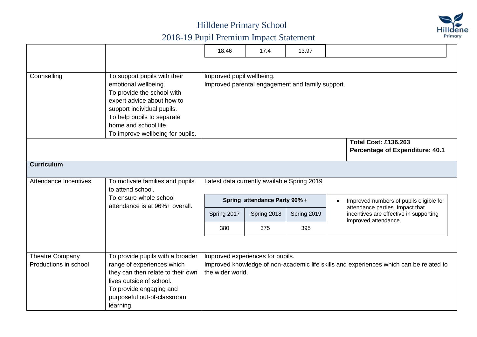

|                        |                                   | 18.46                                            | 17.4                          | 13.97       |                                                                                        |  |  |  |
|------------------------|-----------------------------------|--------------------------------------------------|-------------------------------|-------------|----------------------------------------------------------------------------------------|--|--|--|
|                        |                                   |                                                  |                               |             |                                                                                        |  |  |  |
| Counselling            | To support pupils with their      | Improved pupil wellbeing.                        |                               |             |                                                                                        |  |  |  |
|                        | emotional wellbeing.              | Improved parental engagement and family support. |                               |             |                                                                                        |  |  |  |
|                        | To provide the school with        |                                                  |                               |             |                                                                                        |  |  |  |
|                        | expert advice about how to        |                                                  |                               |             |                                                                                        |  |  |  |
|                        | support individual pupils.        |                                                  |                               |             |                                                                                        |  |  |  |
|                        | To help pupils to separate        |                                                  |                               |             |                                                                                        |  |  |  |
|                        | home and school life.             |                                                  |                               |             |                                                                                        |  |  |  |
|                        | To improve wellbeing for pupils.  |                                                  |                               |             |                                                                                        |  |  |  |
|                        |                                   |                                                  |                               |             | <b>Total Cost: £136,263</b>                                                            |  |  |  |
|                        |                                   |                                                  |                               |             | <b>Percentage of Expenditure: 40.1</b>                                                 |  |  |  |
| <b>Curriculum</b>      |                                   |                                                  |                               |             |                                                                                        |  |  |  |
|                        |                                   |                                                  |                               |             |                                                                                        |  |  |  |
| Attendance Incentives  | To motivate families and pupils   | Latest data currently available Spring 2019      |                               |             |                                                                                        |  |  |  |
|                        | to attend school.                 |                                                  |                               |             |                                                                                        |  |  |  |
|                        | To ensure whole school            |                                                  | Spring attendance Party 96% + |             | Improved numbers of pupils eligible for                                                |  |  |  |
|                        | attendance is at 96%+ overall.    |                                                  |                               |             | attendance parties. Impact that                                                        |  |  |  |
|                        |                                   | Spring 2017                                      | Spring 2018                   | Spring 2019 | incentives are effective in supporting<br>improved attendance.                         |  |  |  |
|                        |                                   | 380                                              | 375                           | 395         |                                                                                        |  |  |  |
|                        |                                   |                                                  |                               |             |                                                                                        |  |  |  |
| <b>Theatre Company</b> | To provide pupils with a broader  | Improved experiences for pupils.                 |                               |             |                                                                                        |  |  |  |
| Productions in school  | range of experiences which        |                                                  |                               |             | Improved knowledge of non-academic life skills and experiences which can be related to |  |  |  |
|                        | they can then relate to their own | the wider world.                                 |                               |             |                                                                                        |  |  |  |
|                        | lives outside of school.          |                                                  |                               |             |                                                                                        |  |  |  |
|                        | To provide engaging and           |                                                  |                               |             |                                                                                        |  |  |  |
|                        | purposeful out-of-classroom       |                                                  |                               |             |                                                                                        |  |  |  |
|                        | learning.                         |                                                  |                               |             |                                                                                        |  |  |  |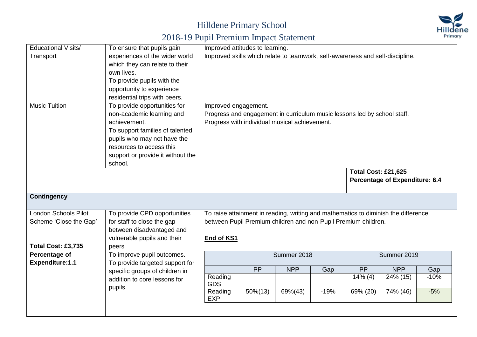

| <b>Educational Visits/</b> | To ensure that pupils gain              |                                                                               | Improved attitudes to learning. |                                                                          |        |                            |                                                                                    |        |  |
|----------------------------|-----------------------------------------|-------------------------------------------------------------------------------|---------------------------------|--------------------------------------------------------------------------|--------|----------------------------|------------------------------------------------------------------------------------|--------|--|
| Transport                  | experiences of the wider world          | Improved skills which relate to teamwork, self-awareness and self-discipline. |                                 |                                                                          |        |                            |                                                                                    |        |  |
|                            | which they can relate to their          |                                                                               |                                 |                                                                          |        |                            |                                                                                    |        |  |
|                            | own lives.                              |                                                                               |                                 |                                                                          |        |                            |                                                                                    |        |  |
|                            | To provide pupils with the              |                                                                               |                                 |                                                                          |        |                            |                                                                                    |        |  |
|                            | opportunity to experience               |                                                                               |                                 |                                                                          |        |                            |                                                                                    |        |  |
|                            | residential trips with peers.           |                                                                               |                                 |                                                                          |        |                            |                                                                                    |        |  |
| <b>Music Tuition</b>       | To provide opportunities for            | Improved engagement.                                                          |                                 |                                                                          |        |                            |                                                                                    |        |  |
|                            | non-academic learning and               |                                                                               |                                 | Progress and engagement in curriculum music lessons led by school staff. |        |                            |                                                                                    |        |  |
|                            | achievement.                            |                                                                               |                                 | Progress with individual musical achievement.                            |        |                            |                                                                                    |        |  |
|                            | To support families of talented         |                                                                               |                                 |                                                                          |        |                            |                                                                                    |        |  |
|                            | pupils who may not have the             |                                                                               |                                 |                                                                          |        |                            |                                                                                    |        |  |
|                            | resources to access this                |                                                                               |                                 |                                                                          |        |                            |                                                                                    |        |  |
|                            | support or provide it without the       |                                                                               |                                 |                                                                          |        |                            |                                                                                    |        |  |
|                            | school.                                 |                                                                               |                                 |                                                                          |        |                            |                                                                                    |        |  |
|                            |                                         |                                                                               |                                 |                                                                          |        | <b>Total Cost: £21,625</b> |                                                                                    |        |  |
|                            |                                         |                                                                               |                                 |                                                                          |        |                            | <b>Percentage of Expenditure: 6.4</b>                                              |        |  |
|                            |                                         |                                                                               |                                 |                                                                          |        |                            |                                                                                    |        |  |
| <b>Contingency</b>         |                                         |                                                                               |                                 |                                                                          |        |                            |                                                                                    |        |  |
| London Schools Pilot       | To provide CPD opportunities            |                                                                               |                                 |                                                                          |        |                            | To raise attainment in reading, writing and mathematics to diminish the difference |        |  |
| Scheme 'Close the Gap'     | for staff to close the gap              |                                                                               |                                 | between Pupil Premium children and non-Pupil Premium children.           |        |                            |                                                                                    |        |  |
|                            | between disadvantaged and               |                                                                               |                                 |                                                                          |        |                            |                                                                                    |        |  |
|                            | vulnerable pupils and their             | End of KS1                                                                    |                                 |                                                                          |        |                            |                                                                                    |        |  |
| Total Cost: £3,735         | peers                                   |                                                                               |                                 |                                                                          |        |                            |                                                                                    |        |  |
| Percentage of              | To improve pupil outcomes.              |                                                                               |                                 | Summer 2018                                                              |        |                            | Summer 2019                                                                        |        |  |
| Expenditure: 1.1           | To provide targeted support for         |                                                                               |                                 |                                                                          |        |                            |                                                                                    |        |  |
|                            | specific groups of children in          |                                                                               | <b>PP</b>                       | <b>NPP</b>                                                               | Gap    | PP                         | <b>NPP</b>                                                                         | Gap    |  |
|                            | addition to core lessons for<br>pupils. | Reading<br><b>GDS</b>                                                         |                                 |                                                                          |        | $14\%$ (4)                 | 24% (15)                                                                           | $-10%$ |  |
|                            |                                         | Reading<br><b>EXP</b>                                                         | 50%(13)                         | 69%(43)                                                                  | $-19%$ | 69% (20)                   | $\frac{1}{7}$ 4% (46)                                                              | $-5%$  |  |
|                            |                                         |                                                                               |                                 |                                                                          |        |                            |                                                                                    |        |  |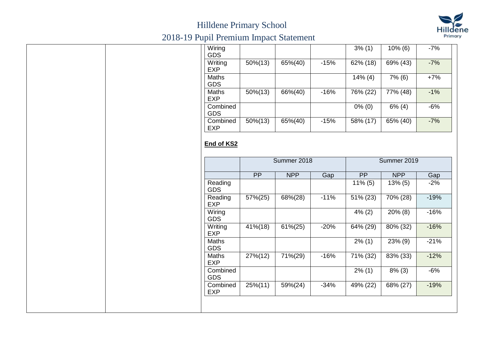

| Wiring<br><b>GDS</b>       |             |             |        | 3% (1)                 | $10\%$ (6)  | $-7%$                     |
|----------------------------|-------------|-------------|--------|------------------------|-------------|---------------------------|
| Writing<br><b>EXP</b>      | $50\% (13)$ | 65%(40)     | $-15%$ | $62\%$ (18)            | 69% (43)    | $-7%$                     |
| <b>Maths</b><br><b>GDS</b> |             |             |        | $14\%$ (4)             | 7% (6)      | $+7%$                     |
| <b>Maths</b><br><b>EXP</b> | $50\% (13)$ | $66\%(40)$  | $-16%$ | 76% (22)               | $77\%$ (48) | $-1%$                     |
| Combined<br><b>GDS</b>     |             |             |        | $0\%$ (0)              | $6\%$ (4)   | $-6%$                     |
| Combined<br><b>EXP</b>     | $50\% (13)$ | 65%(40)     | $-15%$ | 58% (17)               | 65% (40)    | $-7%$                     |
|                            |             |             |        |                        |             |                           |
|                            |             |             |        |                        |             |                           |
|                            | PP          | <b>NPP</b>  | Gap    | <b>PP</b>              | <b>NPP</b>  | Gap                       |
| Reading<br><b>GDS</b>      |             |             |        | $11\%$ (5)             | $13\%$ (5)  |                           |
| Reading<br><b>EXP</b>      | 57%(25)     | 68%(28)     | $-11%$ | $\overline{51\%}$ (23) | 70% (28)    |                           |
| Wiring<br><b>GDS</b>       |             |             |        | $\frac{4\%}{2}$ (2)    | $20\%$ (8)  | $-2%$<br>$-19%$<br>$-16%$ |
| Writing<br><b>EXP</b>      | 41%(18)     | $61\% (25)$ | $-20%$ | 64% (29)               | 80% (32)    | $-16%$                    |
| Maths<br><b>GDS</b>        |             |             |        | $2\%$ (1)              | 23% (9)     | $-21%$                    |
| Maths<br><b>EXP</b>        | 27%(12)     | 71%(29)     | $-16%$ | 71% (32)               | 83% (33)    | $-12%$                    |
| Combined<br><b>GDS</b>     |             |             |        | $2\%$ (1)              | $8\%$ (3)   | $-6%$                     |